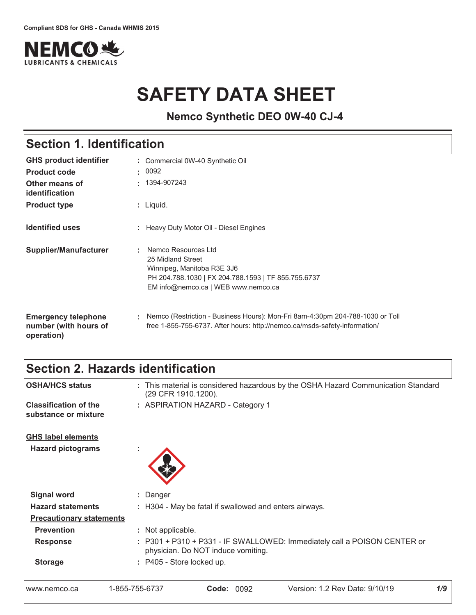

# **SAFETY DATA SHEET**

**Nemco Synthetic DEO 0W-40 CJ-4**

| <b>Section 1. Identification</b>                                  |                                                                                                                                                                      |  |
|-------------------------------------------------------------------|----------------------------------------------------------------------------------------------------------------------------------------------------------------------|--|
| <b>GHS product identifier</b>                                     | : Commercial 0W-40 Synthetic Oil                                                                                                                                     |  |
| <b>Product code</b>                                               | : 0092                                                                                                                                                               |  |
| Other means of<br>identification                                  | 1394-907243<br>ж.                                                                                                                                                    |  |
| <b>Product type</b>                                               | : Liquid.                                                                                                                                                            |  |
| <b>Identified uses</b>                                            | : Heavy Duty Motor Oil - Diesel Engines                                                                                                                              |  |
| <b>Supplier/Manufacturer</b>                                      | Nemco Resources Ltd<br>25 Midland Street<br>Winnipeg, Manitoba R3E 3J6<br>PH 204.788.1030   FX 204.788.1593   TF 855.755.6737<br>EM info@nemco.ca   WEB www.nemco.ca |  |
| <b>Emergency telephone</b><br>number (with hours of<br>operation) | Nemco (Restriction - Business Hours): Mon-Fri 8am-4:30pm 204-788-1030 or Toll<br>÷.<br>free 1-855-755-6737. After hours: http://nemco.ca/msds-safety-information/    |  |

## Section 2. Hazards identification

**Classification of the**  $\qquad$ **: ASP** 

- **OSHA/HCS status** : This material is considered hazardous by the OSHA Hazard Communication Standard (29 CFR 1910.1200).
	- : ASPIRATION HAZARD Category 1

substance or mixture

<u>GHS label elements</u>

Hazard pictograms :  $\qquad \qquad :$ 



| <b>Signal word</b>              | : Danger                                                                                                       |
|---------------------------------|----------------------------------------------------------------------------------------------------------------|
| <b>Hazard statements</b>        | : H304 - May be fatal if swallowed and enters airways.                                                         |
| <b>Precautionary statements</b> |                                                                                                                |
| <b>Prevention</b>               | : Not applicable.                                                                                              |
| <b>Response</b>                 | : P301 + P310 + P331 - IF SWALLOWED: Immediately call a POISON CENTER or<br>physician. Do NOT induce vomiting. |
| <b>Storage</b>                  | : P405 - Store locked up.                                                                                      |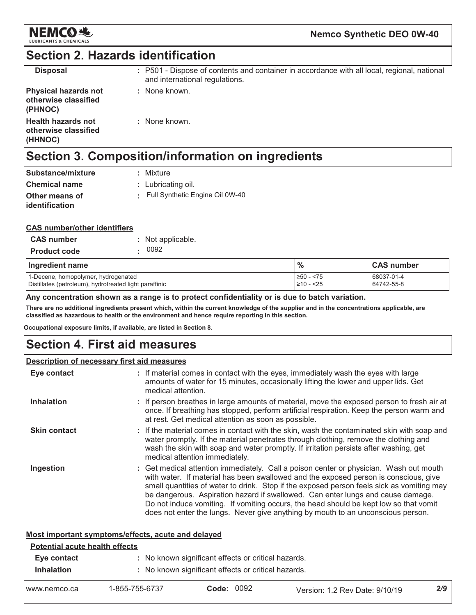

### **Section 2. Hazards identification**

| <b>Disposal</b>                                                | : P501 - Dispose of contents and container in accordance with all local, regional, national<br>and international regulations. |
|----------------------------------------------------------------|-------------------------------------------------------------------------------------------------------------------------------|
| <b>Physical hazards not</b><br>otherwise classified<br>(PHNOC) | : None known.                                                                                                                 |
| <b>Health hazards not</b><br>otherwise classified<br>(HHNOC)   | : None known.                                                                                                                 |

# Section 3. Composition/information on ingredients

| Substance/mixture                | : Mixture                       |
|----------------------------------|---------------------------------|
| <b>Chemical name</b>             | $:$ Lubricating oil.            |
| Other means of<br>identification | Full Synthetic Engine Oil 0W-40 |

#### **CAS number/other identifiers**

| <b>CAS number</b>   | : Not applicable. |
|---------------------|-------------------|
| <b>Product code</b> | . 0092            |

| Ingredient name                                        | $\frac{9}{6}$ | <b>CAS number</b> |
|--------------------------------------------------------|---------------|-------------------|
| 1-Decene, homopolymer, hydrogenated                    | 1≥50 - <75    | 68037-01-4        |
| Distillates (petroleum), hydrotreated light paraffinic | 210 - <25     | 64742-55-8        |

Any concentration shown as a range is to protect confidentiality or is due to batch variation.

There are no additional ingredients present which, within the current knowledge of the supplier and in the concentrations applicable, are classified as hazardous to health or the environment and hence require reporting in this section.

Occupational exposure limits, if available, are listed in Section 8.

### **Section 4. First aid measures**

#### **Description of necessary first aid measures**

| Eye contact         | : If material comes in contact with the eyes, immediately wash the eyes with large<br>amounts of water for 15 minutes, occasionally lifting the lower and upper lids. Get<br>medical attention.                                                                                                                                                                                                                                                                                                                                             |
|---------------------|---------------------------------------------------------------------------------------------------------------------------------------------------------------------------------------------------------------------------------------------------------------------------------------------------------------------------------------------------------------------------------------------------------------------------------------------------------------------------------------------------------------------------------------------|
| <b>Inhalation</b>   | : If person breathes in large amounts of material, move the exposed person to fresh air at<br>once. If breathing has stopped, perform artificial respiration. Keep the person warm and<br>at rest. Get medical attention as soon as possible.                                                                                                                                                                                                                                                                                               |
| <b>Skin contact</b> | : If the material comes in contact with the skin, wash the contaminated skin with soap and<br>water promptly. If the material penetrates through clothing, remove the clothing and<br>wash the skin with soap and water promptly. If irritation persists after washing, get<br>medical attention immediately.                                                                                                                                                                                                                               |
| Ingestion           | : Get medical attention immediately. Call a poison center or physician. Wash out mouth<br>with water. If material has been swallowed and the exposed person is conscious, give<br>small quantities of water to drink. Stop if the exposed person feels sick as vomiting may<br>be dangerous. Aspiration hazard if swallowed. Can enter lungs and cause damage.<br>Do not induce vomiting. If vomiting occurs, the head should be kept low so that vomit<br>does not enter the lungs. Never give anything by mouth to an unconscious person. |

#### Most important symptoms/effects, acute and delayed

| <b>Potential acute health effects</b> |                |                                                                                                            |                                  |     |
|---------------------------------------|----------------|------------------------------------------------------------------------------------------------------------|----------------------------------|-----|
| Eye contact<br><b>Inhalation</b>      |                | : No known significant effects or critical hazards.<br>: No known significant effects or critical hazards. |                                  |     |
| www.nemco.ca                          | 1-855-755-6737 | 0092<br>Code:                                                                                              | Version: 1.2 Rev Date: $9/10/19$ | 2/9 |

| 1-855-755-6737 | <b>Code: 0092</b> | Version: 1.2 Rev Date: 9/10/19 |
|----------------|-------------------|--------------------------------|
|----------------|-------------------|--------------------------------|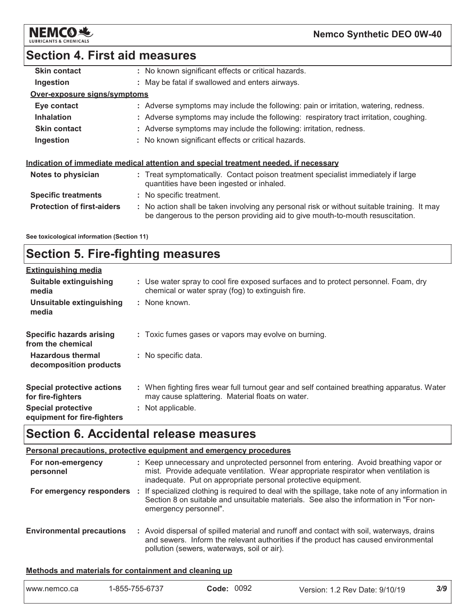

### **Section 4. First aid measures**

| <b>Skin contact</b>               | : No known significant effects or critical hazards.                                                                            |
|-----------------------------------|--------------------------------------------------------------------------------------------------------------------------------|
| Ingestion                         | : May be fatal if swallowed and enters airways.                                                                                |
| Over-exposure signs/symptoms      |                                                                                                                                |
| Eye contact                       | : Adverse symptoms may include the following: pain or irritation, watering, redness.                                           |
| <b>Inhalation</b>                 | : Adverse symptoms may include the following: respiratory tract irritation, coughing.                                          |
| <b>Skin contact</b>               | : Adverse symptoms may include the following: irritation, redness.                                                             |
| Ingestion                         | : No known significant effects or critical hazards.                                                                            |
|                                   | Indication of immediate medical attention and special treatment needed, if necessary                                           |
| Notes to physician                | : Treat symptomatically. Contact poison treatment specialist immediately if large<br>quantities have been ingested or inhaled. |
| <b>Specific treatments</b>        | : No specific treatment.                                                                                                       |
| <b>Protection of first-aiders</b> | : No action shall be taken involving any personal risk or without suitable training. It may                                    |
|                                   |                                                                                                                                |

be dangerous to the person providing aid to give mouth-to-mouth resuscitation.

See toxicological information (Section 11)

## **Section 5. Fire-fighting measures**

| <b>Extinguishing media</b>                               |                                                                                                                                                |
|----------------------------------------------------------|------------------------------------------------------------------------------------------------------------------------------------------------|
| Suitable extinguishing<br>media                          | : Use water spray to cool fire exposed surfaces and to protect personnel. Foam, dry<br>chemical or water spray (fog) to extinguish fire.       |
| Unsuitable extinguishing<br>media                        | : None known.                                                                                                                                  |
| <b>Specific hazards arising</b><br>from the chemical     | : Toxic fumes gases or vapors may evolve on burning.                                                                                           |
| <b>Hazardous thermal</b><br>decomposition products       | : No specific data.                                                                                                                            |
| Special protective actions<br>for fire-fighters          | : When fighting fires wear full turnout gear and self contained breathing apparatus. Water<br>may cause splattering. Material floats on water. |
| <b>Special protective</b><br>equipment for fire-fighters | : Not applicable.                                                                                                                              |

# **Section 6. Accidental release measures**

| <b>Personal precautions, protective equipment and emergency procedures</b> |  |                                                                                                                                                                                                                                              |  |
|----------------------------------------------------------------------------|--|----------------------------------------------------------------------------------------------------------------------------------------------------------------------------------------------------------------------------------------------|--|
| For non-emergency<br>personnel                                             |  | : Keep unnecessary and unprotected personnel from entering. Avoid breathing vapor or<br>mist. Provide adequate ventilation. Wear appropriate respirator when ventilation is<br>inadequate. Put on appropriate personal protective equipment. |  |
| For emergency responders                                                   |  | : If specialized clothing is required to deal with the spillage, take note of any information in<br>Section 8 on suitable and unsuitable materials. See also the information in "For non-<br>emergency personnel".                           |  |
| <b>Environmental precautions</b>                                           |  | : Avoid dispersal of spilled material and runoff and contact with soil, waterways, drains<br>and sewers. Inform the relevant authorities if the product has caused environmental<br>pollution (sewers, waterways, soil or air).              |  |

#### Methods and materials for containment and cleaning up

| www.nemco.ca | 1-855-755-6737 | 0092<br>Code: | Version: 1.2 Rev Date: 9/10/19 | 3/9 |
|--------------|----------------|---------------|--------------------------------|-----|
|              |                |               |                                |     |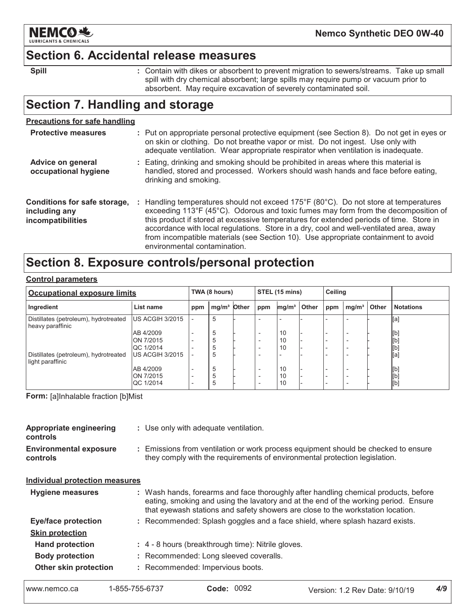

### **Section 6. Accidental release measures**

: Contain with dikes or absorbent to prevent migration to sewers/streams. Take up small spill with dry chemical absorbent; large spills may require pump or vacuum prior to absorbent. May require excavation of severely contaminated soil.

## **Section 7. Handling and storage**

| <b>Precautions for safe handling</b>                               |                                                                                                                                                                                                                                                                                                                                                                                                                                                                                                           |
|--------------------------------------------------------------------|-----------------------------------------------------------------------------------------------------------------------------------------------------------------------------------------------------------------------------------------------------------------------------------------------------------------------------------------------------------------------------------------------------------------------------------------------------------------------------------------------------------|
| <b>Protective measures</b>                                         | : Put on appropriate personal protective equipment (see Section 8). Do not get in eyes or<br>on skin or clothing. Do not breathe vapor or mist. Do not ingest. Use only with<br>adequate ventilation. Wear appropriate respirator when ventilation is inadequate.                                                                                                                                                                                                                                         |
| Advice on general<br>occupational hygiene                          | : Eating, drinking and smoking should be prohibited in areas where this material is<br>handled, stored and processed. Workers should wash hands and face before eating,<br>drinking and smoking.                                                                                                                                                                                                                                                                                                          |
| Conditions for safe storage,<br>including any<br>incompatibilities | : Handling temperatures should not exceed 175 $\degree$ F (80 $\degree$ C). Do not store at temperatures<br>exceeding 113°F (45°C). Odorous and toxic fumes may form from the decomposition of<br>this product if stored at excessive temperatures for extended periods of time. Store in<br>accordance with local regulations. Store in a dry, cool and well-ventilated area, away<br>from incompatible materials (see Section 10). Use appropriate containment to avoid<br>environmental contamination. |

## Section 8. Exposure controls/personal protection

| <b>Control parameters</b> |
|---------------------------|
|                           |

| <b>Occupational exposure limits</b>                       |                         |                          | TWA (8 hours)           |  | STEL (15 mins)           |                   |              | Ceiling |                          |              |                  |
|-----------------------------------------------------------|-------------------------|--------------------------|-------------------------|--|--------------------------|-------------------|--------------|---------|--------------------------|--------------|------------------|
| Ingredient                                                | List name               | ppm                      | mg/m <sup>3</sup> Other |  | ppm                      | mg/m <sup>3</sup> | <b>Other</b> | ppm     | mg/m <sup>3</sup>        | <b>Other</b> | <b>Notations</b> |
| Distillates (petroleum), hydrotreated<br>heavy paraffinic | US ACGIH 3/2015         |                          | 5                       |  |                          |                   |              |         |                          |              | [a]              |
|                                                           | AB 4/2009               |                          | 5                       |  |                          | 10                |              |         |                          |              | [b]              |
|                                                           | ON 7/2015               | $\overline{\phantom{a}}$ | ÷                       |  | $\overline{\phantom{0}}$ | 10                |              |         |                          |              | [b]              |
|                                                           | QC 1/2014               |                          | .5                      |  |                          | 10                |              |         |                          |              | [b]              |
| Distillates (petroleum), hydrotreated<br>light paraffinic | <b>IUS ACGIH 3/2015</b> |                          | b                       |  |                          |                   |              |         |                          |              | [a]              |
|                                                           | AB 4/2009               |                          | 5                       |  |                          | 10                |              |         |                          |              | [b]              |
|                                                           | ON 7/2015               | $\overline{\phantom{a}}$ | h                       |  | $\overline{\phantom{0}}$ | 10                |              |         | $\overline{\phantom{0}}$ |              | [b]              |
|                                                           | QC 1/2014               | $\overline{\phantom{0}}$ | Ð                       |  |                          | 10                |              |         |                          |              | [b]              |

Form: [a]Inhalable fraction [b]Mist

| <b>Appropriate engineering</b><br><b>controls</b> | : Use only with adequate ventilation.                                                                                                                                                                                                                         |
|---------------------------------------------------|---------------------------------------------------------------------------------------------------------------------------------------------------------------------------------------------------------------------------------------------------------------|
| <b>Environmental exposure</b><br>controls         | : Emissions from ventilation or work process equipment should be checked to ensure<br>they comply with the requirements of environmental protection legislation.                                                                                              |
| <b>Individual protection measures</b>             |                                                                                                                                                                                                                                                               |
| Hygiene measures                                  | : Wash hands, forearms and face thoroughly after handling chemical products, before<br>eating, smoking and using the lavatory and at the end of the working period. Ensure<br>that eyewash stations and safety showers are close to the workstation location. |
| Eye/face protection                               | : Recommended: Splash goggles and a face shield, where splash hazard exists.                                                                                                                                                                                  |
| <b>Skin protection</b>                            |                                                                                                                                                                                                                                                               |
| <b>Hand protection</b>                            | : 4 - 8 hours (breakthrough time): Nitrile gloves.                                                                                                                                                                                                            |
| <b>Body protection</b>                            | : Recommended: Long sleeved coveralls.                                                                                                                                                                                                                        |
| Other skin protection                             | : Recommended: Impervious boots.                                                                                                                                                                                                                              |

**Spill**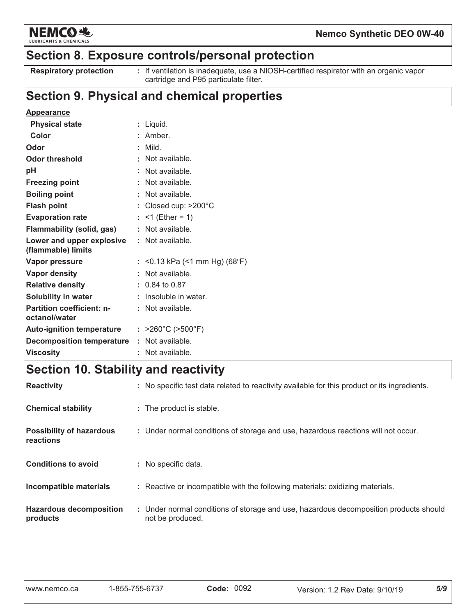

#### Nemco Synthetic DEO 0W-40

### Section 8. Exposure controls/personal protection

**Respiratory protection** 

: If ventilation is inadequate, use a NIOSH-certified respirator with an organic vapor cartridge and P95 particulate filter.

### Section 9. Physical and chemical properties

| ÷. | Liquid.                                                                                                                        |
|----|--------------------------------------------------------------------------------------------------------------------------------|
|    | Amber.                                                                                                                         |
| ÷. | Mild.                                                                                                                          |
|    | Not available.                                                                                                                 |
|    | Not available.                                                                                                                 |
|    | Not available.                                                                                                                 |
|    | : Not available.                                                                                                               |
|    | Closed cup: >200°C                                                                                                             |
| t. | $<$ 1 (Ether = 1)                                                                                                              |
| ÷. | Not available.                                                                                                                 |
|    | : Not available.                                                                                                               |
|    | $<$ 0.13 kPa ( $<$ 1 mm Hg) (68°F)                                                                                             |
|    | Not available.                                                                                                                 |
|    | $: 0.84$ to 0.87                                                                                                               |
|    | Insoluble in water.                                                                                                            |
|    | $:$ Not available.                                                                                                             |
|    | : $>260^{\circ}$ C ( $>500^{\circ}$ F)                                                                                         |
|    | : Not available.                                                                                                               |
|    | Not available.                                                                                                                 |
|    | Flammability (solid, gas)<br>Lower and upper explosive<br><b>Auto-ignition temperature</b><br><b>Decomposition temperature</b> |

### Section 10. Stability and reactivity

| <b>Reactivity</b>                            | : No specific test data related to reactivity available for this product or its ingredients.              |
|----------------------------------------------|-----------------------------------------------------------------------------------------------------------|
| <b>Chemical stability</b>                    | : The product is stable.                                                                                  |
| <b>Possibility of hazardous</b><br>reactions | : Under normal conditions of storage and use, hazardous reactions will not occur.                         |
| <b>Conditions to avoid</b>                   | : No specific data.                                                                                       |
| Incompatible materials                       | : Reactive or incompatible with the following materials: oxidizing materials.                             |
| <b>Hazardous decomposition</b><br>products   | : Under normal conditions of storage and use, hazardous decomposition products should<br>not be produced. |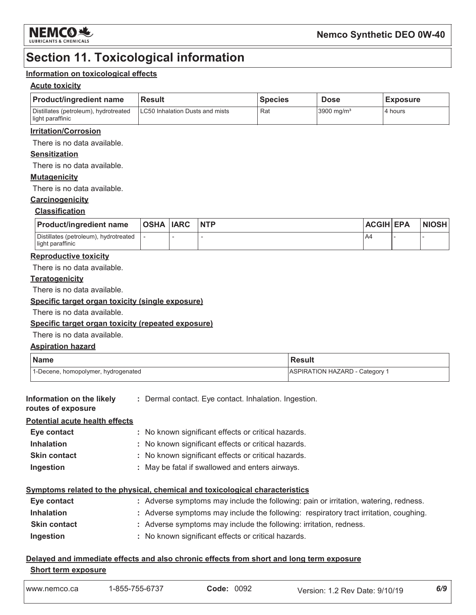

### **Section 11. Toxicological information**

#### Information on toxicological effects

#### **Acute toxicity**

| <b>Product/ingredient name</b>                            | <b>Result</b>                           | <b>Species</b> | <b>Dose</b>            | <b>Exposure</b> |
|-----------------------------------------------------------|-----------------------------------------|----------------|------------------------|-----------------|
| Distillates (petroleum), hydrotreated<br>light paraffinic | <b>ILC50 Inhalation Dusts and mists</b> | Rat            | 3900 mg/m <sup>3</sup> | 4 hours         |

#### **Irritation/Corrosion**

There is no data available.

#### **Sensitization**

There is no data available.

#### **Mutagenicity**

There is no data available.

#### Carcinogenicity

#### **Classification**

| <b>Product/ingredient name</b>                            | <b>OSHA IARC</b> | <b>NTP</b> | <b>ACGIH EPA</b> | <b>NIOSH</b> |
|-----------------------------------------------------------|------------------|------------|------------------|--------------|
| Distillates (petroleum), hydrotreated<br>light paraffinic |                  |            | A4               |              |

#### **Reproductive toxicity**

There is no data available.

#### **Teratogenicity**

There is no data available.

#### Specific target organ toxicity (single exposure)

There is no data available.

#### Specific target organ toxicity (repeated exposure)

There is no data available.

#### **Aspiration hazard**

| <b>Name</b>                         | Result                                |
|-------------------------------------|---------------------------------------|
| 1-Decene, homopolymer, hydrogenated | <b>ASPIRATION HAZARD - Category 1</b> |

| Information on the likely | : Dermal contact. Eye contact. Inhalation. Ingestion. |  |  |
|---------------------------|-------------------------------------------------------|--|--|
| routes of exposure        |                                                       |  |  |

#### **Potential acute health effects** Eye contact : No known significant effects or critical hazards. **Inhalation** : No known significant effects or critical hazards. **Skin contact** : No known significant effects or critical hazards. : May be fatal if swallowed and enters airways. Ingestion

#### Symptoms related to the physical, chemical and toxicological characteristics

| Eye contact         | : Adverse symptoms may include the following: pain or irritation, watering, redness.  |
|---------------------|---------------------------------------------------------------------------------------|
| <b>Inhalation</b>   | : Adverse symptoms may include the following: respiratory tract irritation, coughing. |
| <b>Skin contact</b> | : Adverse symptoms may include the following: irritation, redness.                    |
| Ingestion           | : No known significant effects or critical hazards.                                   |

### Delayed and immediate effects and also chronic effects from short and long term exposure

#### **Short term exposure**

| www.nemco.ca | -855-<br>7hh<br>$\sim$<br>333-O7<br>، ب | 0092<br>Jode∶ | 9/10/19<br>⊃ate:<br>Version:<br>. Rev | 6/9 |
|--------------|-----------------------------------------|---------------|---------------------------------------|-----|
|--------------|-----------------------------------------|---------------|---------------------------------------|-----|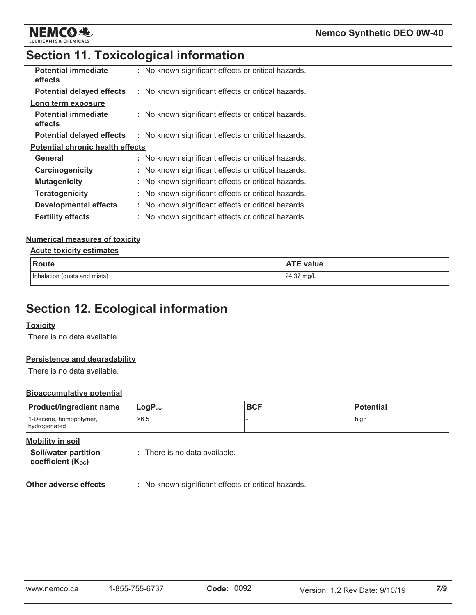



| : No known significant effects or critical hazards. |
|-----------------------------------------------------|
| : No known significant effects or critical hazards. |
|                                                     |
| : No known significant effects or critical hazards. |
| : No known significant effects or critical hazards. |
| <b>Potential chronic health effects</b>             |
| No known significant effects or critical hazards.   |
| No known significant effects or critical hazards.   |
| No known significant effects or critical hazards.   |
| No known significant effects or critical hazards.   |
| No known significant effects or critical hazards.   |
| : No known significant effects or critical hazards. |
|                                                     |

#### **Numerical measures of toxicity**

#### **Acute toxicity estimates**

**NEMCO选** 

**LUBRICANTS & CHEMICALS** 

| <b>Route</b>                 | <b>ATE value</b> |
|------------------------------|------------------|
| Inhalation (dusts and mists) | 24.37 mg/L       |

# **Section 12. Ecological information**

#### **Toxicity**

There is no data available.

#### Persistence and degradability

There is no data available.

#### **Bioaccumulative potential**

| <b>Product/ingredient name</b>         | $LogP_{ow}$ | <b>BCF</b> | <b>Potential</b> |
|----------------------------------------|-------------|------------|------------------|
| 1-Decene, homopolymer,<br>hydrogenated | >6.5        |            | high             |

#### **Mobility in soil**

Soil/water partition coefficient (Koc)

: There is no data available.

**Other adverse effects** : No known significant effects or critical hazards.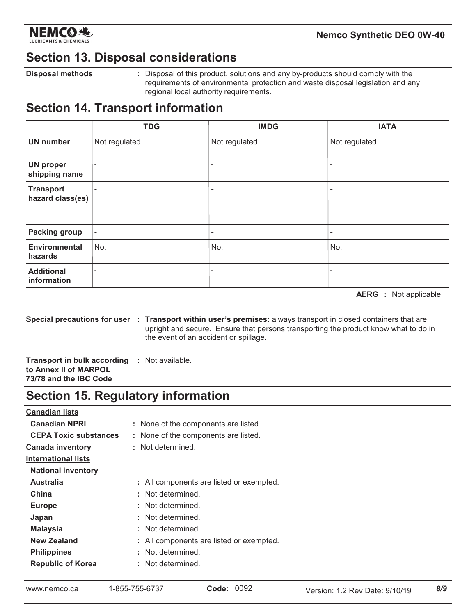

### **Section 13. Disposal considerations**

**Disposal methods** 

: Disposal of this product, solutions and any by-products should comply with the requirements of environmental protection and waste disposal legislation and any regional local authority requirements.

## **Section 14. Transport information**

|                                      | <b>TDG</b>               | <b>IMDG</b>              | <b>IATA</b>    |
|--------------------------------------|--------------------------|--------------------------|----------------|
| <b>UN number</b>                     | Not regulated.           | Not regulated.           | Not regulated. |
| <b>UN proper</b><br>shipping name    | $\overline{\phantom{a}}$ |                          |                |
| <b>Transport</b><br>hazard class(es) | $\overline{\phantom{a}}$ | -                        | -              |
| <b>Packing group</b>                 | $\overline{\phantom{a}}$ | $\overline{\phantom{a}}$ | -              |
| <b>Environmental</b><br>hazards      | No.                      | No.                      | No.            |
| <b>Additional</b><br>information     |                          |                          |                |

**AERG** : Not applicable

Special precautions for user : Transport within user's premises: always transport in closed containers that are upright and secure. Ensure that persons transporting the product know what to do in the event of an accident or spillage.

**Transport in bulk according : Not available.** to Annex II of MARPOL 73/78 and the IBC Code

### **Section 15. Regulatory information**

**Canadian lists Canadian NPRI** : None of the components are listed. **CEPA Toxic substances** : None of the components are listed. **Canada inventory** : Not determined. **International lists National inventory Australia** : All components are listed or exempted. China : Not determined. : Not determined. **Europe** : Not determined. Japan : Not determined. **Malaysia New Zealand** : All components are listed or exempted. : Not determined. **Philippines** : Not determined. **Republic of Korea** 

```
www.nemco.ca
```